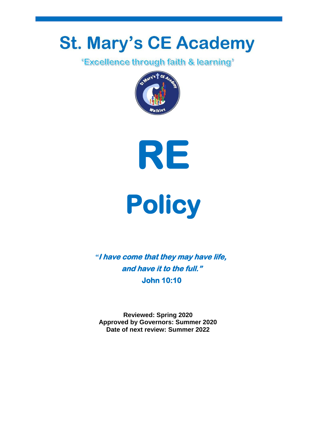# **St. Mary's CE Academy**<br>Excellence through faith & learning"







*"***I have come that they may have life, and have it to the full." John 10:10** 

**Reviewed: Spring 2020 Approved by Governors: Summer 2020 Date of next review: Summer 2022**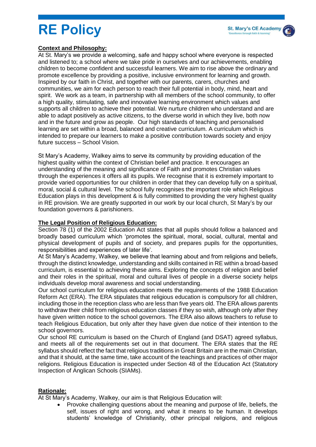# **RE Policy**

#### **Context and Philosophy:**

At St. Mary's we provide a welcoming, safe and happy school where everyone is respected and listened to; a school where we take pride in ourselves and our achievements, enabling children to become confident and successful learners. We aim to rise above the ordinary and promote excellence by providing a positive, inclusive environment for learning and growth. Inspired by our faith in Christ, and together with our parents, carers, churches and communities, we aim for each person to reach their full potential in body, mind, heart and spirit. We work as a team, in partnership with all members of the school community, to offer a high quality, stimulating, safe and innovative learning environment which values and supports all children to achieve their potential. We nurture children who understand and are able to adapt positively as active citizens, to the diverse world in which they live, both now and in the future and grow as people. Our high standards of teaching and personalised learning are set within a broad, balanced and creative curriculum. A curriculum which is intended to prepare our learners to make a positive contribution towards society and enjoy future success – School Vision.

St Mary's Academy, Walkey aims to serve its community by providing education of the highest quality within the context of Christian belief and practice. It encourages an understanding of the meaning and significance of Faith and promotes Christian values through the experiences it offers all its pupils. We recognise that it is extremely important to provide varied opportunities for our children in order that they can develop fully on a spiritual, moral, social & cultural level. The school fully recognises the important role which Religious Education plays in this development & is fully committed to providing the very highest quality in RE provision. We are greatly supported in our work by our local church, St Mary's by our foundation governors & parishioners.

#### **The Legal Position of Religious Education:**

Section 78 (1) of the 2002 Education Act states that all pupils should follow a balanced and broadly based curriculum which 'promotes the spiritual, moral, social, cultural, mental and physical development of pupils and of society, and prepares pupils for the opportunities, responsibilities and experiences of later life'.

At St Mary's Academy, Walkey, we believe that learning about and from religions and beliefs, through the distinct knowledge, understanding and skills contained in RE within a broad-based curriculum, is essential to achieving these aims. Exploring the concepts of religion and belief and their roles in the spiritual, moral and cultural lives of people in a diverse society helps individuals develop moral awareness and social understanding.

Our school curriculum for religious education meets the requirements of the 1988 Education Reform Act (ERA). The ERA stipulates that religious education is compulsory for all children, including those in the reception class who are less than five years old. The ERA allows parents to withdraw their child from religious education classes if they so wish, although only after they have given written notice to the school governors. The ERA also allows teachers to refuse to teach Religious Education, but only after they have given due notice of their intention to the school governors.

Our school RE curriculum is based on the Church of England (and DSAT) agreed syllabus, and meets all of the requirements set out in that document. The ERA states that the RE syllabus should reflect the fact that religious traditions in Great Britain are in the main Christian, and that it should, at the same time, take account of the teachings and practices of other major religions. Religious Education is inspected under Section 48 of the Education Act (Statutory Inspection of Anglican Schools (SIAMs).

#### **Rationale:**

At St Mary's Academy, Walkey, our aim is that Religious Education will:

 Provoke challenging questions about the meaning and purpose of life, beliefs, the self, issues of right and wrong, and what it means to be human. It develops students' knowledge of Christianity, other principal religions, and religious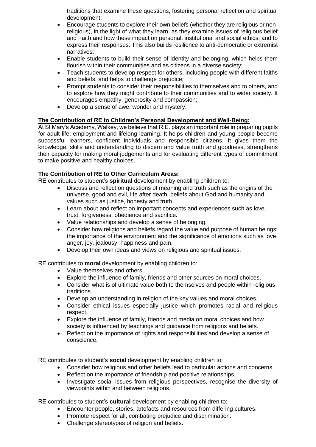traditions that examine these questions, fostering personal reflection and spiritual development;

- Encourage students to explore their own beliefs (whether they are religious or nonreligious), in the light of what they learn, as they examine issues of religious belief and Faith and how these impact on personal, institutional and social ethics; and to express their responses. This also builds resilience to anti-democratic or extremist narratives;
- Enable students to build their sense of identity and belonging, which helps them flourish within their communities and as citizens in a diverse society;
- Teach students to develop respect for others, including people with different faiths and beliefs, and helps to challenge prejudice;
- Prompt students to consider their responsibilities to themselves and to others, and to explore how they might contribute to their communities and to wider society. It encourages empathy, generosity and compassion;
- Develop a sense of awe, wonder and mystery.

#### **The Contribution of RE to Children's Personal Development and Well-Being:**

At St Mary's Academy, Walkey, we believe that R.E. plays an important role in preparing pupils for adult life, employment and lifelong learning. It helps children and young people become successful learners, confident individuals and responsible citizens. It gives them the knowledge, skills and understanding to discern and value truth and goodness, strengthens their capacity for making moral judgements and for evaluating different types of commitment to make positive and healthy choices.

#### **The Contribution of RE to Other Curriculum Areas:**

RE contributes to student's **spiritual** development by enabling children to:

- Discuss and reflect on questions of meaning and truth such as the origins of the universe, good and evil, life after death, beliefs about God and humanity and values such as justice, honesty and truth.
- Learn about and reflect on important concepts and experiences such as love, trust, forgiveness, obedience and sacrifice.
- Value relationships and develop a sense of belonging.
- Consider how religions and beliefs regard the value and purpose of human beings; the importance of the environment and the significance of emotions such as love, anger, joy, jealousy, happiness and pain.
- Develop their own ideas and views on religious and spiritual issues.

RE contributes to **moral** development by enabling children to:

- Value themselves and others.
- Explore the influence of family, friends and other sources on moral choices.
- Consider what is of ultimate value both to themselves and people within religious traditions.
- Develop an understanding in religion of the key values and moral choices.
- Consider ethical issues especially justice which promotes racial and religious respect.
- Explore the influence of family, friends and media on moral choices and how society is influenced by teachings and guidance from religions and beliefs.
- Reflect on the importance of rights and responsibilities and develop a sense of conscience.

RE contributes to student's **social** development by enabling children to:

- Consider how religious and other beliefs lead to particular actions and concerns.
- Reflect on the importance of friendship and positive relationships.
- Investigate social issues from religious perspectives, recognise the diversity of viewpoints within and between religions.

RE contributes to student's **cultural** development by enabling children to:

- Encounter people, stories, artefacts and resources from differing cultures.
- Promote respect for all, combating prejudice and discrimination.
- Challenge stereotypes of religion and beliefs.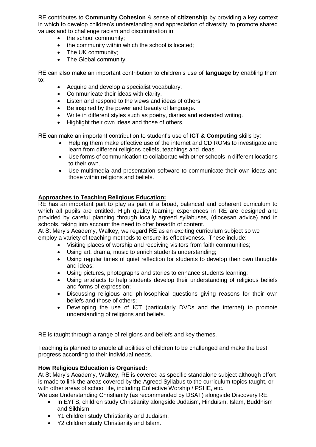RE contributes to **Community Cohesion** & sense of **citizenship** by providing a key context in which to develop children's understanding and appreciation of diversity, to promote shared values and to challenge racism and discrimination in:

- the school community;
- the community within which the school is located;
- The UK community;
- The Global community.

RE can also make an important contribution to children's use of **language** by enabling them to:

- Acquire and develop a specialist vocabulary.
- Communicate their ideas with clarity.
- Listen and respond to the views and ideas of others.
- Be inspired by the power and beauty of language.
- Write in different styles such as poetry, diaries and extended writing.
- Highlight their own ideas and those of others.

RE can make an important contribution to student's use of **ICT & Computing** skills by:

- Helping them make effective use of the internet and CD ROMs to investigate and learn from different religions beliefs, teachings and ideas.
- Use forms of communication to collaborate with other schools in different locations to their own.
- Use multimedia and presentation software to communicate their own ideas and those within religions and beliefs.

## **Approaches to Teaching Religious Education:**

RE has an important part to play as part of a broad, balanced and coherent curriculum to which all pupils are entitled. High quality learning experiences in RE are designed and provided by careful planning through locally agreed syllabuses, (diocesan advice) and in schools, taking into account the need to offer breadth of content.

At St Mary's Academy, Walkey, we regard RE as an exciting curriculum subject so we employ a variety of teaching methods to ensure its effectiveness. These include:

- Visiting places of worship and receiving visitors from faith communities;
- Using art, drama, music to enrich students understanding;
- Using regular times of quiet reflection for students to develop their own thoughts and ideas;
- Using pictures, photographs and stories to enhance students learning;
- Using artefacts to help students develop their understanding of religious beliefs and forms of expression;
- Discussing religious and philosophical questions giving reasons for their own beliefs and those of others;
- Developing the use of ICT (particularly DVDs and the internet) to promote understanding of religions and beliefs.

RE is taught through a range of religions and beliefs and key themes.

Teaching is planned to enable all abilities of children to be challenged and make the best progress according to their individual needs.

#### **How Religious Education is Organised:**

At St Mary's Academy, Walkey, RE is covered as specific standalone subject although effort is made to link the areas covered by the Agreed Syllabus to the curriculum topics taught, or with other areas of school life, including Collective Worship / PSHE, etc.

We use Understanding Christianity (as recommended by DSAT) alongside Discovery RE.

- In EYFS, children study Christianity alongside Judaism, Hinduism, Islam, Buddhism and Sikhism.
- Y1 children study Christianity and Judaism.
- Y2 children study Christianity and Islam.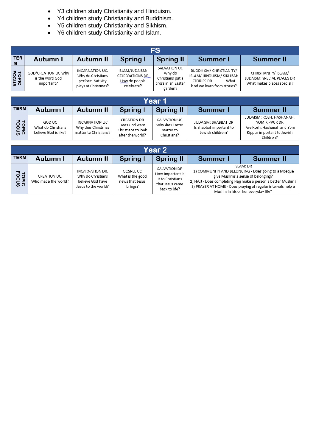- Y3 children study Christianity and Hinduism.
- Y4 children study Christianity and Buddhism.
- Y5 children study Christianity and Sikhism.
- Y6 children study Christianity and Islam.

| <b>FS</b>       |                                                      |                                                                                 |                                                                  |                                                                             |                                                                                                                |                                                                                  |  |
|-----------------|------------------------------------------------------|---------------------------------------------------------------------------------|------------------------------------------------------------------|-----------------------------------------------------------------------------|----------------------------------------------------------------------------------------------------------------|----------------------------------------------------------------------------------|--|
| <b>TER</b><br>M | Autumn I                                             | Autumn II                                                                       | Spring I                                                         | <b>Spring II</b>                                                            | Summer I                                                                                                       | <b>Summer II</b>                                                                 |  |
| <b>FOOUS</b>    | GOD/CREATION UC Why<br>is the word God<br>important? | INCARNATION UC.<br>Why do Christians<br>perform Nativity<br>plays at Christmas? | ISLAM/JUDAISM:<br>CELEBRATIONS DR<br>How do people<br>celebrate? | SALVATION UC<br>Why do<br>Christians put a<br>cross in an Easter<br>garden? | BUDDHISM/ CHRISTIANITY/<br>ISLAM/HINDUISM/SIKHISM:<br>What<br><b>STORIES DR</b><br>kind we learn from stories? | CHRISTIANITY/ ISLAM/<br>JUDAISM: SPECIAL PLACES DR<br>What makes places special? |  |

| Year 1                |                                                      |                                                               |                                                                        |                                                             |                                                                    |                                                                                                                    |  |
|-----------------------|------------------------------------------------------|---------------------------------------------------------------|------------------------------------------------------------------------|-------------------------------------------------------------|--------------------------------------------------------------------|--------------------------------------------------------------------------------------------------------------------|--|
| <b>TERM</b>           | Autumn I                                             | Autumn II                                                     | Spring I                                                               | <b>Spring II</b>                                            | Summer I                                                           | <b>Summer II</b>                                                                                                   |  |
| <b>TOPIC</b><br>FOCUS | GOD UC<br>What do Christians<br>believe God is like? | INCARNATION UC<br>Why dies Christmas<br>matter to Christians? | CREATION DR<br>Does God want<br>Christians to look<br>after the world? | SALVATION UC<br>Why dies Easter<br>matter to<br>Christians? | JUDAISM: SHABBAT DR<br>Is Shabbat important to<br>Jewish children? | JUDAISM: ROSH, HASHANAH,<br>YOM KIPPUR DR<br>Are Rosh, Hashanah and Yom<br>Kippur important to Jewish<br>Children? |  |

| Year 2                |                                     |                                                                                 |                                                                    |                                                                                          |          |                                                                                                                                                                                                                                                                                       |  |
|-----------------------|-------------------------------------|---------------------------------------------------------------------------------|--------------------------------------------------------------------|------------------------------------------------------------------------------------------|----------|---------------------------------------------------------------------------------------------------------------------------------------------------------------------------------------------------------------------------------------------------------------------------------------|--|
| <b>TERM</b>           | Autumn I                            | Autumn II                                                                       | Spring I                                                           | Spring II                                                                                | Summer I | <b>Summer II</b>                                                                                                                                                                                                                                                                      |  |
| <b>TOPIC</b><br>FOCUS | CREATION UC.<br>Who made the world? | INCARNATION DR.<br>Why do Christians<br>believe God have<br>Jesus to the world? | <b>GOSPEL UC</b><br>What is the good<br>news that Jesus<br>brings? | SALVATION DR<br>How important is<br>it to Christians<br>that Jesus came<br>back to life? |          | <b>ISLAM: DR</b><br>1) COMMUNITY AND BELONGING - Does going to a Mosque<br>give Muslims a sense of belonging?<br>2) HAJJ - Does completing Hajj make a person a better Muslim?<br>3) PRAYER AT HOME - Does praying at regular intervals help a<br>Muslim in his or her everyday life? |  |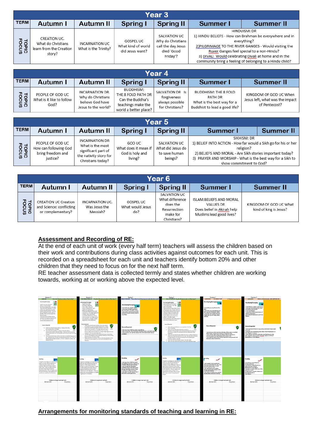| Year 3                |                                                                         |                                               |                                                           |                                                                                   |          |                                                                                                                                                                                                                                                                                                                    |  |
|-----------------------|-------------------------------------------------------------------------|-----------------------------------------------|-----------------------------------------------------------|-----------------------------------------------------------------------------------|----------|--------------------------------------------------------------------------------------------------------------------------------------------------------------------------------------------------------------------------------------------------------------------------------------------------------------------|--|
| <b>TERM</b>           | Autumn I                                                                | Autumn II                                     | Spring I                                                  | <b>Spring II</b>                                                                  | Summer I | <b>Summer II</b>                                                                                                                                                                                                                                                                                                   |  |
| <b>FOPIC</b><br>POCUS | CREATION UC.<br>What do Christians<br>learn from the Creation<br>story? | <b>INCARNATION UC</b><br>What is the Trinity? | <b>GOSPEL UC</b><br>What kind of world<br>did Jesus want? | SALVATION UC<br>Why do Christians<br>call the day Jesus<br>died 'Good<br>Friday'? |          | HINDUISM: DR<br>1) HINDU BELIEFS - How can Brahman be everywhere and in<br>everything?<br>2) PILGRIMAGE TO THE RIVER GANGES - Would visiting the<br>Ruver Ganges feel special to a non-Hindu?<br>3) DIVALI Would celebrating Divali at home and in the<br>community bring a feeling of belonging to a Hindu child? |  |

| Year 4              |                                                       |                                                                                 |                                                                                                    |                                                                      |                                                                                                       |                                                                            |  |
|---------------------|-------------------------------------------------------|---------------------------------------------------------------------------------|----------------------------------------------------------------------------------------------------|----------------------------------------------------------------------|-------------------------------------------------------------------------------------------------------|----------------------------------------------------------------------------|--|
| <b>TERM</b>         | Autumn I                                              | Autumn II                                                                       | Spring I                                                                                           | Spring II                                                            | Summer I                                                                                              | <b>Summer II</b>                                                           |  |
| ≖ ≖<br>ropic<br>Sup | PEOPLE OF GOD UC<br>What is it like to follow<br>God? | INCARNATION DR.<br>Why do Christians<br>believe God have<br>Jesus to the world? | BUDDHISM:<br>THE 8 FOLD PATH DR<br>Can the Buddha's<br>teachings make the<br>world a better place? | SALVATION DR Is<br>forgiveness<br>always possible<br>for Christians? | <b>BUDDHISM: THE 8 FOLD</b><br>PATH DR<br>What is the best way for a<br>Buddhist to lead a good life? | KINGDOM OF GOD UC When<br>Jesus left, what was the impact<br>of Pentecost? |  |

| Year 5                |                                                                            |                                                                                                                 |                                                              |                                                               |                                                                                                                                                                                                                                                 |                  |  |
|-----------------------|----------------------------------------------------------------------------|-----------------------------------------------------------------------------------------------------------------|--------------------------------------------------------------|---------------------------------------------------------------|-------------------------------------------------------------------------------------------------------------------------------------------------------------------------------------------------------------------------------------------------|------------------|--|
| <b>TERM</b>           | Autumn I                                                                   | Autumn II                                                                                                       | Spring I                                                     | <b>Spring II</b>                                              | Summer I                                                                                                                                                                                                                                        | <b>Summer II</b> |  |
| <b>TOPIC</b><br>FOCUS | PEOPLE OF GOD UC<br>How can following God<br>bring freedom and<br>justice? | <b>INCARNATION DR</b><br>What is the most<br>significant part of<br>the nativity story for<br>Christians today? | GOD UC<br>What does it mean if<br>God is holy and<br>living? | SALVATION UC<br>What did Jesus do<br>to save human<br>beings? | SIKHISM: DR<br>1) BELIEF INTO ACTION - How far would a Sikh go for his or her<br>religion?<br>2) BELIEFS AND MORAL - Are Sikh stories important today?<br>3) PRAYER AND WORSHIP - What is the best way for a Sikh to<br>show commitment to God? |                  |  |

| Year 6       |                                                                              |                                              |                                             |                                                                                        |                                                                                                       |                                                  |  |
|--------------|------------------------------------------------------------------------------|----------------------------------------------|---------------------------------------------|----------------------------------------------------------------------------------------|-------------------------------------------------------------------------------------------------------|--------------------------------------------------|--|
| <b>TERM</b>  | Autumn I                                                                     | Autumn II                                    | Spring I                                    | Spring II                                                                              | Summer I                                                                                              | <b>Summer II</b>                                 |  |
| <b>Focus</b> | <b>CREATION UC Creation</b><br>and Science: conflicting<br>or complementary? | INCARNATION UC.<br>Was Jesus the<br>Messiah? | <b>GOSPEL UC</b><br>What would Jesus<br>do? | SALVATION UC<br>What difference<br>does the<br>Resurrection<br>make for<br>Christians? | ISLAM:BELIEFS AND MORAL<br><b>VALUES DR</b><br>Does belief in Akirah help<br>Muslims lead good lives? | KINGDOM OF GOD UC What<br>kind of king is Jesus? |  |

## **Assessment and Recording of RE:**

At the end of each unit of work (every half term) teachers will assess the children based on their work and contributions during class activities against outcomes for each unit. This is recorded on a spreadsheet for each unit and teachers identify bottom 20% and other children that they need to focus on for the next half term.

RE teacher assessment data is collected termly and states whether children are working towards, working at or working above the expected level.



**Arrangements for monitoring standards of teaching and learning in RE:**